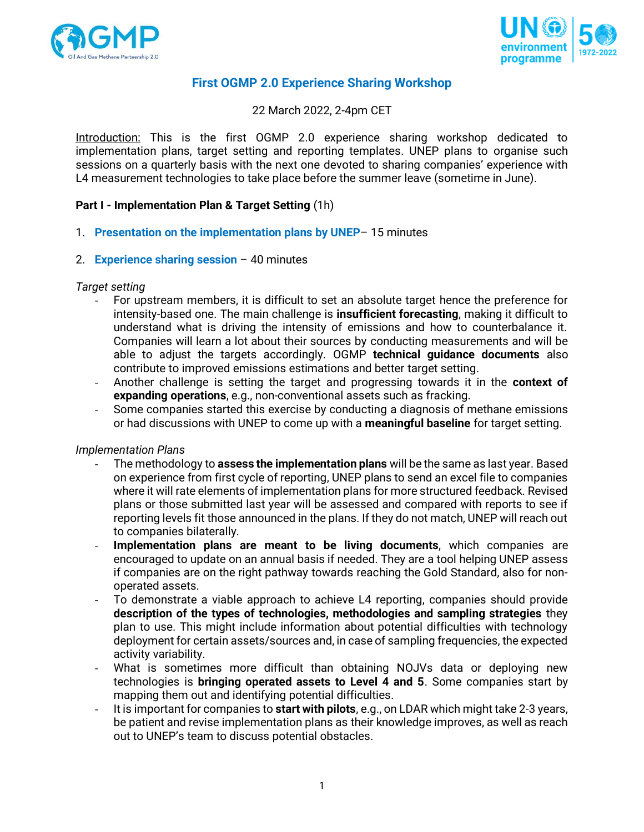



# **First OGMP 2.0 Experience Sharing Workshop**

22 March 2022, 2-4pm CET

Introduction: This is the first OGMP 2.0 experience sharing workshop dedicated to implementation plans, target setting and reporting templates. UNEP plans to organise such sessions on a quarterly basis with the next one devoted to sharing companies' experience with L4 measurement technologies to take place before the summer leave (sometime in June).

### **Part I - Implementation Plan & Target Setting** (1h)

- 1. **Presentation on the implementation plans by UNEP** 15 minutes
- 2. **Experience sharing session** 40 minutes

#### *Target setting*

- For upstream members, it is difficult to set an absolute target hence the preference for intensity-based one. The main challenge is **insufficient forecasting**, making it difficult to understand what is driving the intensity of emissions and how to counterbalance it. Companies will learn a lot about their sources by conducting measurements and will be able to adjust the targets accordingly. OGMP **technical guidance documents** also contribute to improved emissions estimations and better target setting.
- Another challenge is setting the target and progressing towards it in the **context of expanding operations**, e.g., non-conventional assets such as fracking.
- Some companies started this exercise by conducting a diagnosis of methane emissions or had discussions with UNEP to come up with a **meaningful baseline** for target setting.

#### *Implementation Plans*

- The methodology to **assess the implementation plans** will be the same as last year. Based on experience from first cycle of reporting, UNEP plans to send an excel file to companies where it will rate elements of implementation plans for more structured feedback. Revised plans or those submitted last year will be assessed and compared with reports to see if reporting levels fit those announced in the plans. If they do not match, UNEP will reach out to companies bilaterally.
- **Implementation plans are meant to be living documents**, which companies are encouraged to update on an annual basis if needed. They are a tool helping UNEP assess if companies are on the right pathway towards reaching the Gold Standard, also for nonoperated assets.
- To demonstrate a viable approach to achieve L4 reporting, companies should provide **description of the types of technologies, methodologies and sampling strategies** they plan to use. This might include information about potential difficulties with technology deployment for certain assets/sources and, in case of sampling frequencies, the expected activity variability.
- What is sometimes more difficult than obtaining NOJVs data or deploying new technologies is **bringing operated assets to Level 4 and 5**. Some companies start by mapping them out and identifying potential difficulties.
- It is important for companies to **start with pilots**, e.g., on LDAR which might take 2-3 years, be patient and revise implementation plans as their knowledge improves, as well as reach out to UNEP's team to discuss potential obstacles.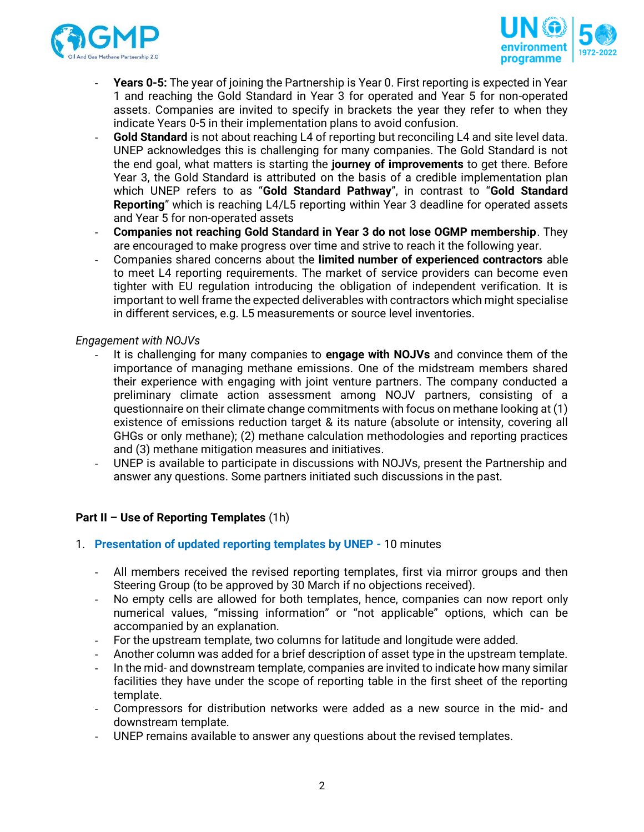



- **Years 0-5:** The year of joining the Partnership is Year 0. First reporting is expected in Year 1 and reaching the Gold Standard in Year 3 for operated and Year 5 for non-operated assets. Companies are invited to specify in brackets the year they refer to when they indicate Years 0-5 in their implementation plans to avoid confusion.
- Gold Standard is not about reaching L4 of reporting but reconciling L4 and site level data. UNEP acknowledges this is challenging for many companies. The Gold Standard is not the end goal, what matters is starting the **journey of improvements** to get there. Before Year 3, the Gold Standard is attributed on the basis of a credible implementation plan which UNEP refers to as "**Gold Standard Pathway**", in contrast to "**Gold Standard Reporting**" which is reaching L4/L5 reporting within Year 3 deadline for operated assets and Year 5 for non-operated assets
- **Companies not reaching Gold Standard in Year 3 do not lose OGMP membership**. They are encouraged to make progress over time and strive to reach it the following year.
- Companies shared concerns about the **limited number of experienced contractors** able to meet L4 reporting requirements. The market of service providers can become even tighter with EU regulation introducing the obligation of independent verification. It is important to well frame the expected deliverables with contractors which might specialise in different services, e.g. L5 measurements or source level inventories.

### *Engagement with NOJVs*

- It is challenging for many companies to **engage with NOJVs** and convince them of the importance of managing methane emissions. One of the midstream members shared their experience with engaging with joint venture partners. The company conducted a preliminary climate action assessment among NOJV partners, consisting of a questionnaire on their climate change commitments with focus on methane looking at (1) existence of emissions reduction target & its nature (absolute or intensity, covering all GHGs or only methane); (2) methane calculation methodologies and reporting practices and (3) methane mitigation measures and initiatives.
- UNEP is available to participate in discussions with NOJVs, present the Partnership and answer any questions. Some partners initiated such discussions in the past.

### **Part II – Use of Reporting Templates** (1h)

- 1. **Presentation of updated reporting templates by UNEP -** 10 minutes
	- All members received the revised reporting templates, first via mirror groups and then Steering Group (to be approved by 30 March if no objections received).
	- No empty cells are allowed for both templates, hence, companies can now report only numerical values, "missing information" or "not applicable" options, which can be accompanied by an explanation.
	- For the upstream template, two columns for latitude and longitude were added.
	- Another column was added for a brief description of asset type in the upstream template.
	- In the mid- and downstream template, companies are invited to indicate how many similar facilities they have under the scope of reporting table in the first sheet of the reporting template.
	- Compressors for distribution networks were added as a new source in the mid- and downstream template.
	- UNEP remains available to answer any questions about the revised templates.